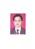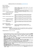## **CURRICULUM VITAE of Prof. PAN XIAOHUA (szpxh4141@163.net)**

## **Name: Pan Xiaohua**

| <b>Academic qualifications:</b> |                                                                               |                                                                                                                                           |
|---------------------------------|-------------------------------------------------------------------------------|-------------------------------------------------------------------------------------------------------------------------------------------|
| 1987-1993 B. Med.               |                                                                               | Medicine College (six years schooling system) of Sun yat-sen<br>university, Guangzhou, China                                              |
| 2002-2005 M. Med.               |                                                                               | Medicine College (three years schooling system) of Jinan University,<br>Guangzhou, China                                                  |
|                                 | 2006-2009 M.D. & Ph.D.                                                        | Tong Ji Medicine College (three years schooling system) of Huazhong<br>University of Science and Technology, Wuhan, China.                |
|                                 | 2009-2012 Postdoctoral Research Fellow<br>& Academic Visitor Scholar          | Department of Orthopaedics & Traumatology, The Chinese University<br>of Hong Kong                                                         |
|                                 | Previous academic positions held:                                             |                                                                                                                                           |
|                                 | 1993-1998 Resident surgeon                                                    | Department of Orthopaedics & Traumatology, Shenzhen People's<br>Hospital, Second Medical College of Ji'nan University, Shenzhen,<br>China |
|                                 | 1998-2004 Attending Orthopedic surgeon                                        | Department of Orthopaedics & Traumatology, Shenzhen People's<br>Hospital, Second Medical College of Ji'nan University, Shenzhen,<br>China |
|                                 | 2004-2008 Associated Clinical professor<br>& Associated Orthopedic<br>surgeon | Department of Orthopaedics & Traumatology, Shenzhen People's<br>Hospital, Second Medical College of Ji'nan University, Shenzhen,<br>China |
|                                 | 2008-2012 Clinical professor and Chief<br>Orthopedic surgeon                  | Department of Orthopaedics & Traumatology, Shenzhen People's<br>Hospital, Second Medical College of Ji'nan University, Shenzhen,<br>China |
|                                 | <b>Present academic position:</b>                                             |                                                                                                                                           |
| 2013-                           | Clinical professor and Chief<br>Orthopedic surgeon                            | Department of Orthopaedics & Traumatology, Shenzhen<br>People's Hospital, Second Medical College of Ji'nan University,                    |

## **Previous relevant research work:**

Technical expertise Emergency and conservative treatment and comprehensive therapy of multiple and complex bone related diseases; skills of arthroscopy and various minimally invasive techniques and joint replacement treatment

Shenzhen, China

**Publication Records:** 26 Papers; 8 SCI Papers

## **PAPERS**

- 1. Ge Zhang, Baosheng Guo, Heng Wu, Tao Tang, Baoting *Zhang, Lizhen Zheng, Yixin He, Zhijun Yang, Xiaohua Pan, Heelum Chow, Kinwah To, Yaping Li, D*ahu Li, Xinluan Wang, Yixiang Wang, Kwongman Lee, Zhibo Hou, Nan Dong, Gang Li, Kwoksui Leung, Leungkim Hung, Fuchu He, Lingqiang Zhang, Ling Qin. A delivery system targeting bone formation surfaces to facilitate RNAi-based anabolic therapy. *Nature Medicine* .2012;18(2):307-14 (**SCI IF**:**27.136** )
- 2. **[Pan X](http://www.ncbi.nlm.nih.gov/pubmed?term=%22Pan%20X%22%5BAuthor%5D)**, [Huang L,](http://www.ncbi.nlm.nih.gov/pubmed?term=%22Huang%20L%22%5BAuthor%5D) [Chen J,](http://www.ncbi.nlm.nih.gov/pubmed?term=%22Chen%20J%22%5BAuthor%5D) [Dai Y,](http://www.ncbi.nlm.nih.gov/pubmed?term=%22Dai%20Y%22%5BAuthor%5D) [Chen X.](http://www.ncbi.nlm.nih.gov/pubmed?term=%22Chen%20X%22%5BAuthor%5D)Analysis of synovial fluid in knee joint of osteoarthritis:5 proteome patterns of joint inflammation based on matrix-assisted laser desorption/ionization time-of-flight mass spectrometry. *[Int Orthop.](http://www.ncbi.nlm.nih.gov/pubmed/21509578##)* 2012;36(1):57-64.(**SCI IF**:**2.025**)
- 3. **PAN Xiao-hua**; XIAO De-ming Study of rotating permanent magnetic field to treat steroid-induced osteonecrosis of femoral head .*International Orthopedics*(*[Int Orthop.](http://www.ncbi.nlm.nih.gov/pubmed/21509578##)*) 2009;6:617-623(**SCI IF**:**2.025**)
- 4. **Pan XH***,* Wang YG, Zhang G, Liu Z, Zeng WC, Chen JK, Dai Y, Qin L. Breeding and identification of estrogen receptor beta gene knock-out mice. *Nan Fang Yi Ke Da Xue Xue Bao*. 2010;30(1):153-156.
- 5. **Pan Xiaohua**, Zhang Ge, Qin Ling, Xiao Dengming. Epimedium-derived flavonoids exert promotion effect on osteoporotic fracture repair in postmenopausal women: Preliminary progress report until 8 weeks post fracture. *Bone* 2008; 43: S86 **(SCI IF**: **4.089)**
- 6. **Xiaohua PAN**, ShuHua YANG, Deming XIAO, Yong DAI, Lili REN.Gene expression disparity in giant cell tumor of bone. *Front. Med. China.*DOI 10.1007/s11684-009-0012-y
- 7. **Xiaohua Pan**, Xiaowei Yu, Ling Qin, Peng Zhang ''Old drugs'' for the treatment of rheumatoid arthritis: will the cholinergic anti-inflammatory pathway and anti-nociceptive pathway work? *Inflame. Res*. 2010;59(12):1005-7 (**SCI IF**: **1.586**)